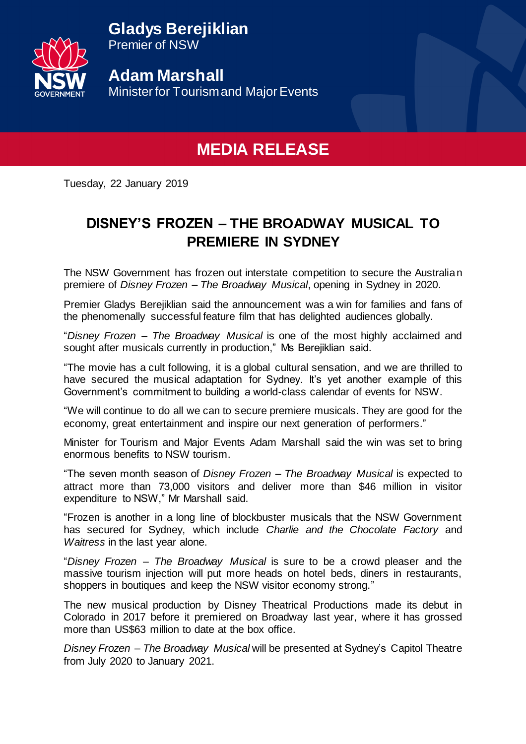**Gladys Berejiklian**



Premier of NSW

**Adam Marshall**  Minister for Tourism and Major Events

## **MEDIA RELEASE**

Tuesday, 22 January 2019

## **DISNEY'S FROZEN – THE BROADWAY MUSICAL TO PREMIERE IN SYDNEY**

The NSW Government has frozen out interstate competition to secure the Australian premiere of *Disney Frozen – The Broadway Musical*, opening in Sydney in 2020.

Premier Gladys Berejiklian said the announcement was a win for families and fans of the phenomenally successful feature film that has delighted audiences globally.

"*Disney Frozen – The Broadway Musical* is one of the most highly acclaimed and sought after musicals currently in production," Ms Berejiklian said.

"The movie has a cult following, it is a global cultural sensation, and we are thrilled to have secured the musical adaptation for Sydney. It's yet another example of this Government's commitment to building a world-class calendar of events for NSW.

"We will continue to do all we can to secure premiere musicals. They are good for the economy, great entertainment and inspire our next generation of performers."

Minister for Tourism and Major Events Adam Marshall said the win was set to bring enormous benefits to NSW tourism.

"The seven month season of *Disney Frozen – The Broadway Musical* is expected to attract more than 73,000 visitors and deliver more than \$46 million in visitor expenditure to NSW," Mr Marshall said.

"Frozen is another in a long line of blockbuster musicals that the NSW Government has secured for Sydney, which include *Charlie and the Chocolate Factory* and *Waitress* in the last year alone.

"*Disney Frozen – The Broadway Musical* is sure to be a crowd pleaser and the massive tourism injection will put more heads on hotel beds, diners in restaurants, shoppers in boutiques and keep the NSW visitor economy strong."

The new musical production by Disney Theatrical Productions made its debut in Colorado in 2017 before it premiered on Broadway last year, where it has grossed more than US\$63 million to date at the box office.

*Disney Frozen – The Broadway Musical* will be presented at Sydney's Capitol Theatre from July 2020 to January 2021.